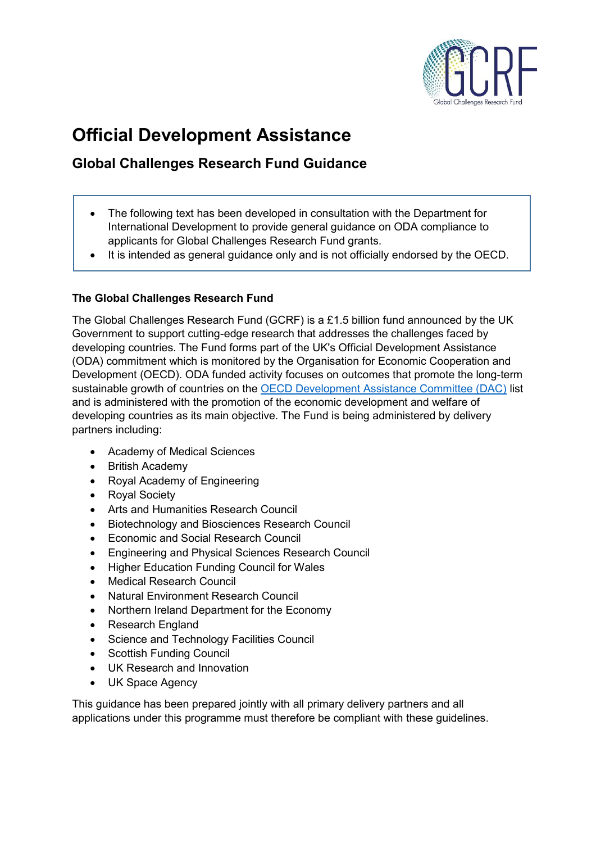

# **Official Development Assistance**

# **Global Challenges Research Fund Guidance**

- The following text has been developed in consultation with the Department for International Development to provide general guidance on ODA compliance to applicants for Global Challenges Research Fund grants.
- It is intended as general guidance only and is not officially endorsed by the OECD.

# **The Global Challenges Research Fund**

The Global Challenges Research Fund (GCRF) is a £1.5 billion fund announced by the UK Government to support cutting-edge research that addresses the challenges faced by developing countries. The Fund forms part of the UK's Official Development Assistance (ODA) commitment which is monitored by the Organisation for Economic Cooperation and Development (OECD). ODA funded activity focuses on outcomes that promote the long-term sustainable growth of countries on the **OECD Development Assistance Committee (DAC)** list and is administered with the promotion of the economic development and welfare of developing countries as its main objective. The Fund is being administered by delivery partners including:

- Academy of Medical Sciences
- British Academy
- Royal Academy of Engineering
- Royal Society
- Arts and Humanities Research Council
- Biotechnology and Biosciences Research Council
- Economic and Social Research Council
- Engineering and Physical Sciences Research Council
- Higher Education Funding Council for Wales
- Medical Research Council
- Natural Environment Research Council
- Northern Ireland Department for the Economy
- Research England
- Science and Technology Facilities Council
- Scottish Funding Council
- UK Research and Innovation
- UK Space Agency

This guidance has been prepared jointly with all primary delivery partners and all applications under this programme must therefore be compliant with these guidelines.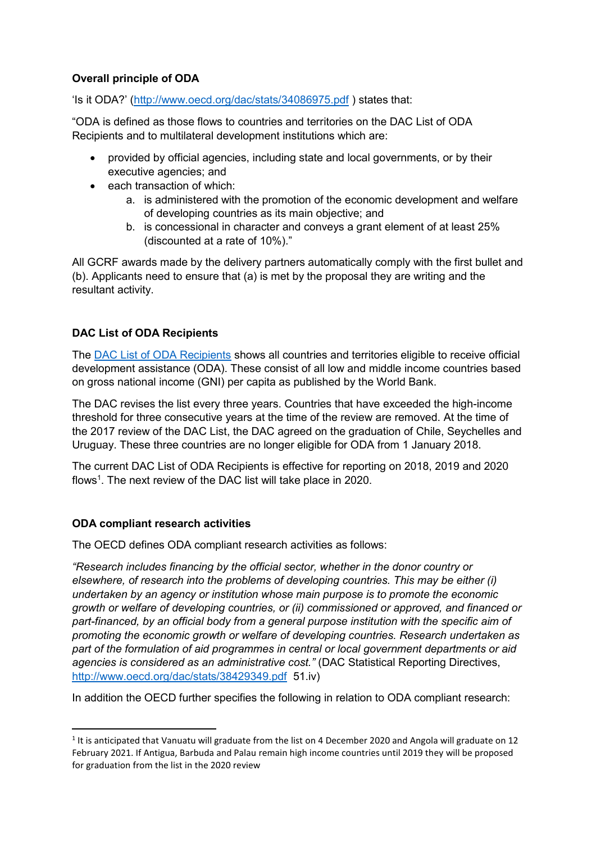# **Overall principle of ODA**

'Is it ODA?' (<http://www.oecd.org/dac/stats/34086975.pdf> ) states that:

"ODA is defined as those flows to countries and territories on the DAC List of ODA Recipients and to multilateral development institutions which are:

- provided by official agencies, including state and local governments, or by their executive agencies; and
- $\bullet$  each transaction of which:
	- a. is administered with the promotion of the economic development and welfare of developing countries as its main objective; and
	- b. is concessional in character and conveys a grant element of at least 25% (discounted at a rate of 10%)."

All GCRF awards made by the delivery partners automatically comply with the first bullet and (b). Applicants need to ensure that (a) is met by the proposal they are writing and the resultant activity.

# **DAC List of ODA Recipients**

The **DAC** List of ODA Recipients shows all countries and territories eligible to receive official development assistance (ODA). These consist of all low and middle income countries based on gross national income (GNI) per capita as published by the World Bank.

The DAC revises the list every three years. Countries that have exceeded the high-income threshold for three consecutive years at the time of the review are removed. At the time of the 2017 review of the DAC List, the DAC agreed on the graduation of Chile, Seychelles and Uruguay. These three countries are no longer eligible for ODA from 1 January 2018.

The current DAC List of ODA Recipients is effective for reporting on 2018, 2019 and 2020 flows<sup>1</sup>. The next review of the DAC list will take place in 2020.

#### **ODA compliant research activities**

**.** 

The OECD defines ODA compliant research activities as follows:

*"Research includes financing by the official sector, whether in the donor country or elsewhere, of research into the problems of developing countries. This may be either (i) undertaken by an agency or institution whose main purpose is to promote the economic growth or welfare of developing countries, or (ii) commissioned or approved, and financed or part-financed, by an official body from a general purpose institution with the specific aim of promoting the economic growth or welfare of developing countries. Research undertaken as part of the formulation of aid programmes in central or local government departments or aid agencies is considered as an administrative cost."* (DAC Statistical Reporting Directives, <http://www.oecd.org/dac/stats/38429349.pdf> 51.iv)

In addition the OECD further specifies the following in relation to ODA compliant research:

<sup>&</sup>lt;sup>1</sup> It is anticipated that Vanuatu will graduate from the list on 4 December 2020 and Angola will graduate on 12 February 2021. If Antigua, Barbuda and Palau remain high income countries until 2019 they will be proposed for graduation from the list in the 2020 review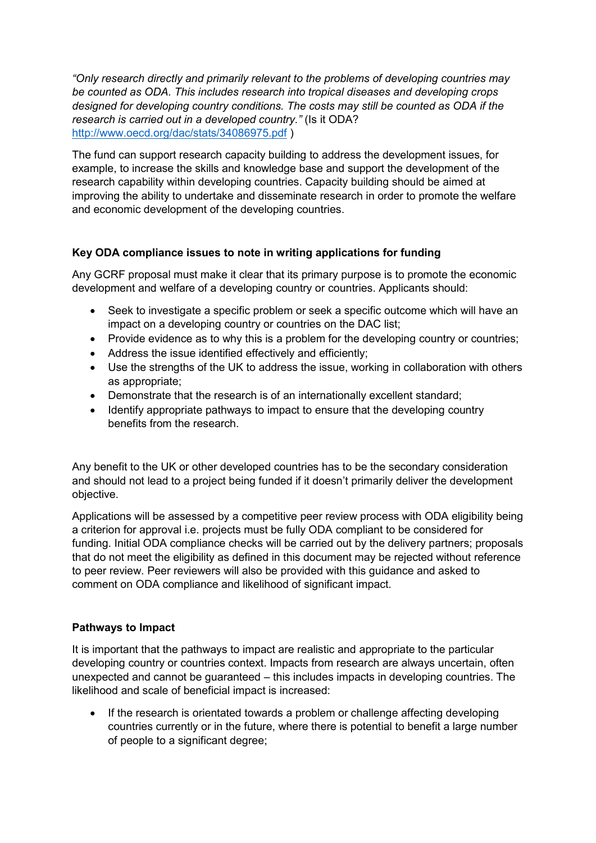*"Only research directly and primarily relevant to the problems of developing countries may be counted as ODA. This includes research into tropical diseases and developing crops designed for developing country conditions. The costs may still be counted as ODA if the research is carried out in a developed country."* (Is it ODA? <http://www.oecd.org/dac/stats/34086975.pdf> )

The fund can support research capacity building to address the development issues, for example, to increase the skills and knowledge base and support the development of the research capability within developing countries. Capacity building should be aimed at improving the ability to undertake and disseminate research in order to promote the welfare and economic development of the developing countries.

# **Key ODA compliance issues to note in writing applications for funding**

Any GCRF proposal must make it clear that its primary purpose is to promote the economic development and welfare of a developing country or countries. Applicants should:

- Seek to investigate a specific problem or seek a specific outcome which will have an impact on a developing country or countries on the DAC list;
- Provide evidence as to why this is a problem for the developing country or countries;
- Address the issue identified effectively and efficiently;
- Use the strengths of the UK to address the issue, working in collaboration with others as appropriate;
- Demonstrate that the research is of an internationally excellent standard;
- Identify appropriate pathways to impact to ensure that the developing country benefits from the research.

Any benefit to the UK or other developed countries has to be the secondary consideration and should not lead to a project being funded if it doesn't primarily deliver the development objective.

Applications will be assessed by a competitive peer review process with ODA eligibility being a criterion for approval i.e. projects must be fully ODA compliant to be considered for funding. Initial ODA compliance checks will be carried out by the delivery partners; proposals that do not meet the eligibility as defined in this document may be rejected without reference to peer review. Peer reviewers will also be provided with this guidance and asked to comment on ODA compliance and likelihood of significant impact.

#### **Pathways to Impact**

It is important that the pathways to impact are realistic and appropriate to the particular developing country or countries context. Impacts from research are always uncertain, often unexpected and cannot be guaranteed – this includes impacts in developing countries. The likelihood and scale of beneficial impact is increased:

 If the research is orientated towards a problem or challenge affecting developing countries currently or in the future, where there is potential to benefit a large number of people to a significant degree;